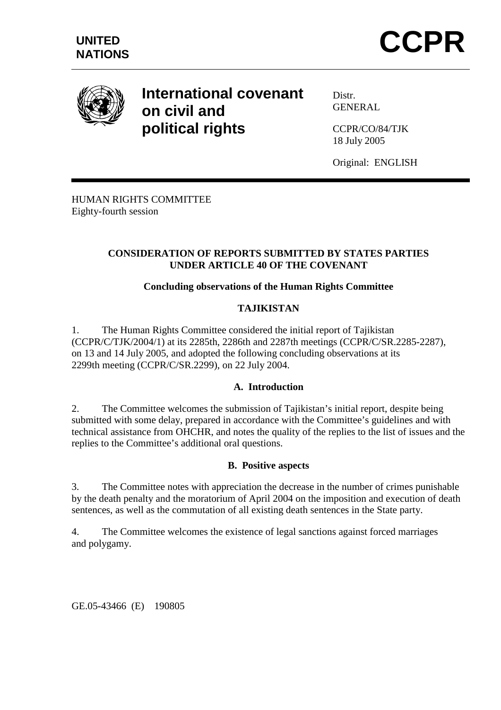

# **International covenant on civil and political rights**

Distr. **GENERAL** 

CCPR/CO/84/TJK 18 July 2005

Original: ENGLISH

HUMAN RIGHTS COMMITTEE Eighty-fourth session

## **CONSIDERATION OF REPORTS SUBMITTED BY STATES PARTIES UNDER ARTICLE 40 OF THE COVENANT**

# **Concluding observations of the Human Rights Committee**

## **TAJIKISTAN**

1. The Human Rights Committee considered the initial report of Tajikistan (CCPR/C/TJK/2004/1) at its 2285th, 2286th and 2287th meetings (CCPR/C/SR.2285-2287), on 13 and 14 July 2005, and adopted the following concluding observations at its 2299th meeting (CCPR/C/SR.2299), on 22 July 2004.

#### **A. Introduction**

2. The Committee welcomes the submission of Tajikistan's initial report, despite being submitted with some delay, prepared in accordance with the Committee's guidelines and with technical assistance from OHCHR, and notes the quality of the replies to the list of issues and the replies to the Committee's additional oral questions.

#### **B. Positive aspects**

3. The Committee notes with appreciation the decrease in the number of crimes punishable by the death penalty and the moratorium of April 2004 on the imposition and execution of death sentences, as well as the commutation of all existing death sentences in the State party.

4. The Committee welcomes the existence of legal sanctions against forced marriages and polygamy.

GE.05-43466 (E) 190805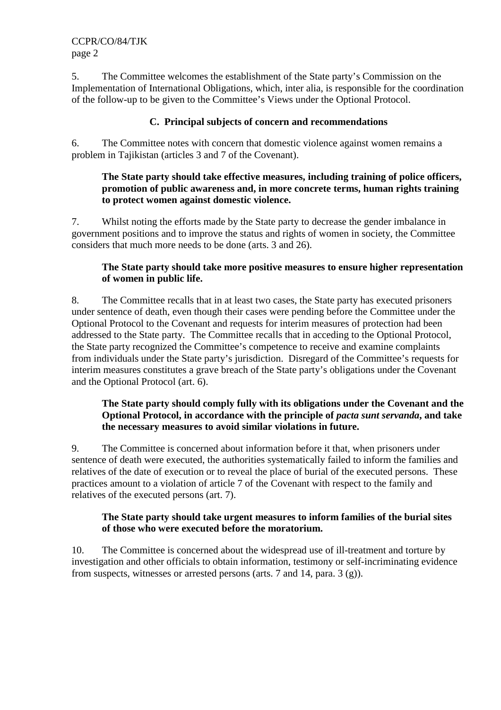5. The Committee welcomes the establishment of the State party's Commission on the Implementation of International Obligations, which, inter alia, is responsible for the coordination of the follow-up to be given to the Committee's Views under the Optional Protocol.

## **C. Principal subjects of concern and recommendations**

6. The Committee notes with concern that domestic violence against women remains a problem in Tajikistan (articles 3 and 7 of the Covenant).

#### **The State party should take effective measures, including training of police officers, promotion of public awareness and, in more concrete terms, human rights training to protect women against domestic violence.**

7. Whilst noting the efforts made by the State party to decrease the gender imbalance in government positions and to improve the status and rights of women in society, the Committee considers that much more needs to be done (arts. 3 and 26).

## **The State party should take more positive measures to ensure higher representation of women in public life.**

8. The Committee recalls that in at least two cases, the State party has executed prisoners under sentence of death, even though their cases were pending before the Committee under the Optional Protocol to the Covenant and requests for interim measures of protection had been addressed to the State party. The Committee recalls that in acceding to the Optional Protocol, the State party recognized the Committee's competence to receive and examine complaints from individuals under the State party's jurisdiction. Disregard of the Committee's requests for interim measures constitutes a grave breach of the State party's obligations under the Covenant and the Optional Protocol (art. 6).

#### **The State party should comply fully with its obligations under the Covenant and the Optional Protocol, in accordance with the principle of** *pacta sunt servanda***, and take the necessary measures to avoid similar violations in future.**

9. The Committee is concerned about information before it that, when prisoners under sentence of death were executed, the authorities systematically failed to inform the families and relatives of the date of execution or to reveal the place of burial of the executed persons. These practices amount to a violation of article 7 of the Covenant with respect to the family and relatives of the executed persons (art. 7).

#### **The State party should take urgent measures to inform families of the burial sites of those who were executed before the moratorium.**

10. The Committee is concerned about the widespread use of ill-treatment and torture by investigation and other officials to obtain information, testimony or self-incriminating evidence from suspects, witnesses or arrested persons (arts. 7 and 14, para.  $3(g)$ ).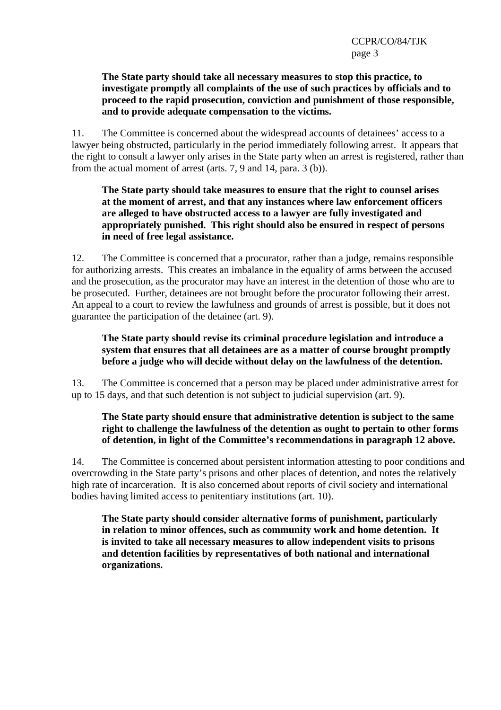#### **The State party should take all necessary measures to stop this practice, to investigate promptly all complaints of the use of such practices by officials and to proceed to the rapid prosecution, conviction and punishment of those responsible, and to provide adequate compensation to the victims.**

11. The Committee is concerned about the widespread accounts of detainees' access to a lawyer being obstructed, particularly in the period immediately following arrest. It appears that the right to consult a lawyer only arises in the State party when an arrest is registered, rather than from the actual moment of arrest (arts. 7, 9 and 14, para. 3 (b)).

#### **The State party should take measures to ensure that the right to counsel arises at the moment of arrest, and that any instances where law enforcement officers are alleged to have obstructed access to a lawyer are fully investigated and appropriately punished. This right should also be ensured in respect of persons in need of free legal assistance.**

12. The Committee is concerned that a procurator, rather than a judge, remains responsible for authorizing arrests. This creates an imbalance in the equality of arms between the accused and the prosecution, as the procurator may have an interest in the detention of those who are to be prosecuted. Further, detainees are not brought before the procurator following their arrest. An appeal to a court to review the lawfulness and grounds of arrest is possible, but it does not guarantee the participation of the detainee (art. 9).

#### **The State party should revise its criminal procedure legislation and introduce a system that ensures that all detainees are as a matter of course brought promptly before a judge who will decide without delay on the lawfulness of the detention.**

13. The Committee is concerned that a person may be placed under administrative arrest for up to 15 days, and that such detention is not subject to judicial supervision (art. 9).

## **The State party should ensure that administrative detention is subject to the same right to challenge the lawfulness of the detention as ought to pertain to other forms of detention, in light of the Committee's recommendations in paragraph 12 above.**

14. The Committee is concerned about persistent information attesting to poor conditions and overcrowding in the State party's prisons and other places of detention, and notes the relatively high rate of incarceration. It is also concerned about reports of civil society and international bodies having limited access to penitentiary institutions (art. 10).

**The State party should consider alternative forms of punishment, particularly in relation to minor offences, such as community work and home detention. It is invited to take all necessary measures to allow independent visits to prisons and detention facilities by representatives of both national and international organizations.**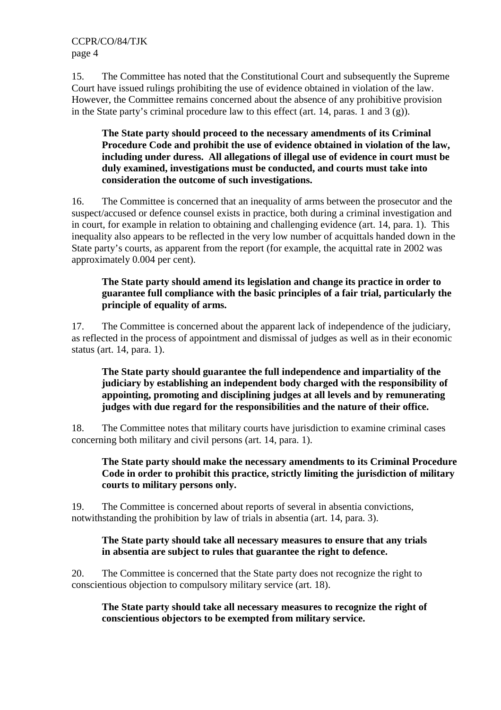15. The Committee has noted that the Constitutional Court and subsequently the Supreme Court have issued rulings prohibiting the use of evidence obtained in violation of the law. However, the Committee remains concerned about the absence of any prohibitive provision in the State party's criminal procedure law to this effect (art. 14, paras. 1 and 3 (g)).

**The State party should proceed to the necessary amendments of its Criminal Procedure Code and prohibit the use of evidence obtained in violation of the law, including under duress. All allegations of illegal use of evidence in court must be duly examined, investigations must be conducted, and courts must take into consideration the outcome of such investigations.** 

16. The Committee is concerned that an inequality of arms between the prosecutor and the suspect/accused or defence counsel exists in practice, both during a criminal investigation and in court, for example in relation to obtaining and challenging evidence (art. 14, para. 1). This inequality also appears to be reflected in the very low number of acquittals handed down in the State party's courts, as apparent from the report (for example, the acquittal rate in 2002 was approximately 0.004 per cent).

## **The State party should amend its legislation and change its practice in order to guarantee full compliance with the basic principles of a fair trial, particularly the principle of equality of arms.**

17. The Committee is concerned about the apparent lack of independence of the judiciary, as reflected in the process of appointment and dismissal of judges as well as in their economic status (art. 14, para. 1).

#### **The State party should guarantee the full independence and impartiality of the judiciary by establishing an independent body charged with the responsibility of appointing, promoting and disciplining judges at all levels and by remunerating judges with due regard for the responsibilities and the nature of their office.**

18. The Committee notes that military courts have jurisdiction to examine criminal cases concerning both military and civil persons (art. 14, para. 1).

#### **The State party should make the necessary amendments to its Criminal Procedure Code in order to prohibit this practice, strictly limiting the jurisdiction of military courts to military persons only.**

19. The Committee is concerned about reports of several in absentia convictions, notwithstanding the prohibition by law of trials in absentia (art. 14, para. 3).

## **The State party should take all necessary measures to ensure that any trials in absentia are subject to rules that guarantee the right to defence.**

20. The Committee is concerned that the State party does not recognize the right to conscientious objection to compulsory military service (art. 18).

**The State party should take all necessary measures to recognize the right of conscientious objectors to be exempted from military service.**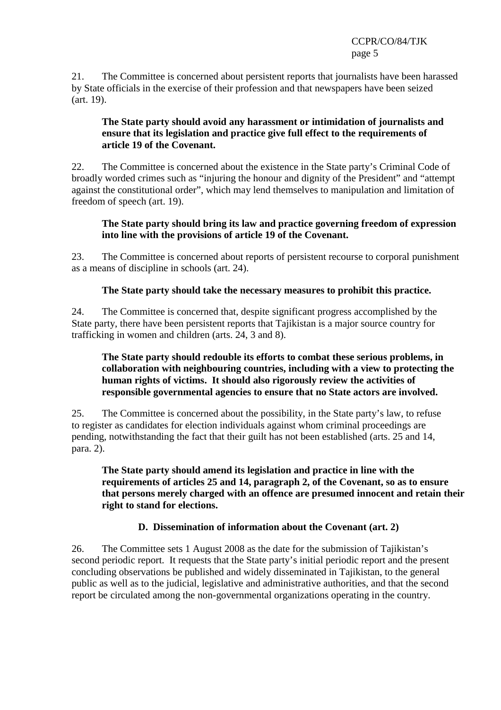CCPR/CO/84/TJK page 5

21. The Committee is concerned about persistent reports that journalists have been harassed by State officials in the exercise of their profession and that newspapers have been seized (art. 19).

#### **The State party should avoid any harassment or intimidation of journalists and ensure that its legislation and practice give full effect to the requirements of article 19 of the Covenant.**

22. The Committee is concerned about the existence in the State party's Criminal Code of broadly worded crimes such as "injuring the honour and dignity of the President" and "attempt against the constitutional order", which may lend themselves to manipulation and limitation of freedom of speech (art. 19).

#### **The State party should bring its law and practice governing freedom of expression into line with the provisions of article 19 of the Covenant.**

23. The Committee is concerned about reports of persistent recourse to corporal punishment as a means of discipline in schools (art. 24).

#### **The State party should take the necessary measures to prohibit this practice.**

24. The Committee is concerned that, despite significant progress accomplished by the State party, there have been persistent reports that Tajikistan is a major source country for trafficking in women and children (arts. 24, 3 and 8).

#### **The State party should redouble its efforts to combat these serious problems, in collaboration with neighbouring countries, including with a view to protecting the human rights of victims. It should also rigorously review the activities of responsible governmental agencies to ensure that no State actors are involved.**

25. The Committee is concerned about the possibility, in the State party's law, to refuse to register as candidates for election individuals against whom criminal proceedings are pending, notwithstanding the fact that their guilt has not been established (arts. 25 and 14, para. 2).

#### **The State party should amend its legislation and practice in line with the requirements of articles 25 and 14, paragraph 2, of the Covenant, so as to ensure that persons merely charged with an offence are presumed innocent and retain their right to stand for elections.**

# **D. Dissemination of information about the Covenant (art. 2)**

26. The Committee sets 1 August 2008 as the date for the submission of Tajikistan's second periodic report. It requests that the State party's initial periodic report and the present concluding observations be published and widely disseminated in Tajikistan, to the general public as well as to the judicial, legislative and administrative authorities, and that the second report be circulated among the non-governmental organizations operating in the country.